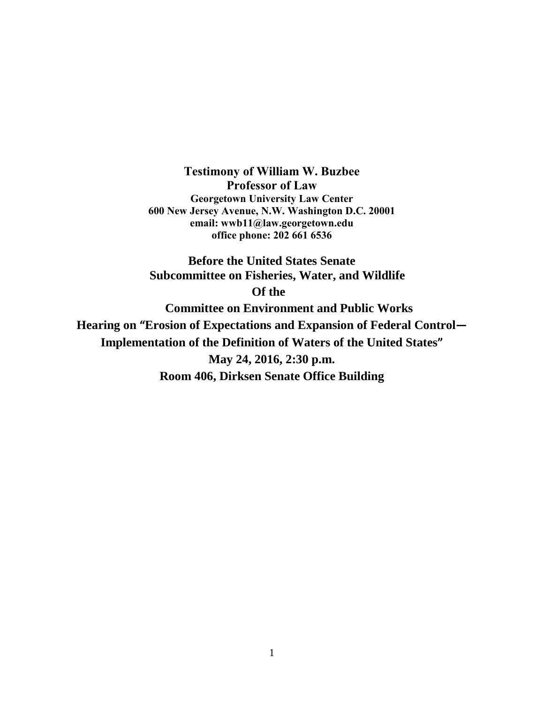**Testimony of William W. Buzbee Professor of Law Georgetown University Law Center 600 New Jersey Avenue, N.W. Washington D.C. 20001 email: [wwb11@law.georgetown.edu](mailto:wwb11@law.georgetown.edu) office phone: 202 661 6536**

**Before the United States Senate Subcommittee on Fisheries, Water, and Wildlife Of the Committee on Environment and Public Works Hearing on "Erosion of Expectations and Expansion of Federal Control— Implementation of the Definition of Waters of the United States" May 24, 2016, 2:30 p.m. Room 406, Dirksen Senate Office Building**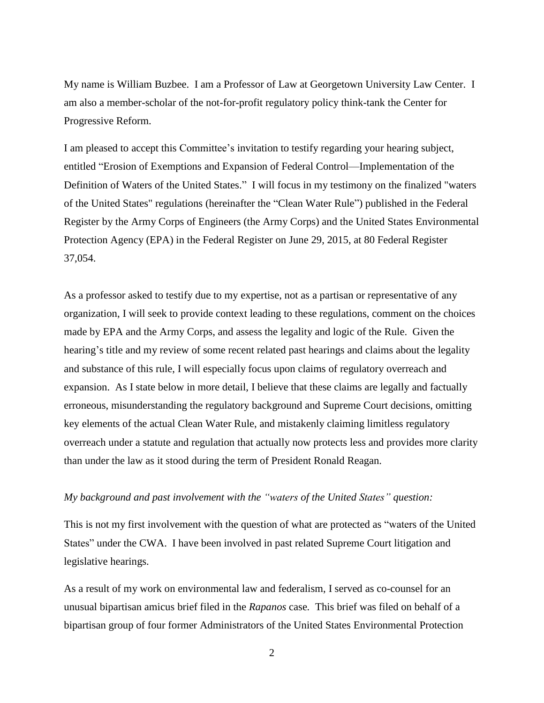My name is William Buzbee. I am a Professor of Law at Georgetown University Law Center. I am also a member-scholar of the not-for-profit regulatory policy think-tank the Center for Progressive Reform.

I am pleased to accept this Committee's invitation to testify regarding your hearing subject, entitled "Erosion of Exemptions and Expansion of Federal Control—Implementation of the Definition of Waters of the United States." I will focus in my testimony on the finalized "waters of the United States" regulations (hereinafter the "Clean Water Rule") published in the Federal Register by the Army Corps of Engineers (the Army Corps) and the United States Environmental Protection Agency (EPA) in the Federal Register on June 29, 2015, at 80 Federal Register 37,054.

As a professor asked to testify due to my expertise, not as a partisan or representative of any organization, I will seek to provide context leading to these regulations, comment on the choices made by EPA and the Army Corps, and assess the legality and logic of the Rule. Given the hearing's title and my review of some recent related past hearings and claims about the legality and substance of this rule, I will especially focus upon claims of regulatory overreach and expansion. As I state below in more detail, I believe that these claims are legally and factually erroneous, misunderstanding the regulatory background and Supreme Court decisions, omitting key elements of the actual Clean Water Rule, and mistakenly claiming limitless regulatory overreach under a statute and regulation that actually now protects less and provides more clarity than under the law as it stood during the term of President Ronald Reagan.

### *My background and past involvement with the "waters of the United States" question:*

This is not my first involvement with the question of what are protected as "waters of the United States" under the CWA. I have been involved in past related Supreme Court litigation and legislative hearings.

As a result of my work on environmental law and federalism, I served as co-counsel for an unusual bipartisan amicus brief filed in the *Rapanos* case*.* This brief was filed on behalf of a bipartisan group of four former Administrators of the United States Environmental Protection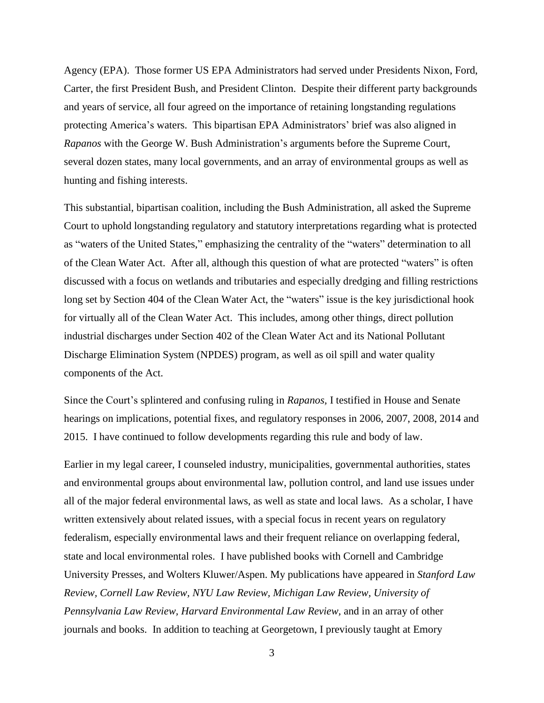Agency (EPA). Those former US EPA Administrators had served under Presidents Nixon, Ford, Carter, the first President Bush, and President Clinton. Despite their different party backgrounds and years of service, all four agreed on the importance of retaining longstanding regulations protecting America's waters. This bipartisan EPA Administrators' brief was also aligned in *Rapanos* with the George W. Bush Administration's arguments before the Supreme Court, several dozen states, many local governments, and an array of environmental groups as well as hunting and fishing interests.

This substantial, bipartisan coalition, including the Bush Administration, all asked the Supreme Court to uphold longstanding regulatory and statutory interpretations regarding what is protected as "waters of the United States," emphasizing the centrality of the "waters" determination to all of the Clean Water Act. After all, although this question of what are protected "waters" is often discussed with a focus on wetlands and tributaries and especially dredging and filling restrictions long set by Section 404 of the Clean Water Act, the "waters" issue is the key jurisdictional hook for virtually all of the Clean Water Act. This includes, among other things, direct pollution industrial discharges under Section 402 of the Clean Water Act and its National Pollutant Discharge Elimination System (NPDES) program, as well as oil spill and water quality components of the Act.

Since the Court's splintered and confusing ruling in *Rapanos,* I testified in House and Senate hearings on implications, potential fixes, and regulatory responses in 2006, 2007, 2008, 2014 and 2015. I have continued to follow developments regarding this rule and body of law.

Earlier in my legal career, I counseled industry, municipalities, governmental authorities, states and environmental groups about environmental law, pollution control, and land use issues under all of the major federal environmental laws, as well as state and local laws. As a scholar, I have written extensively about related issues, with a special focus in recent years on regulatory federalism, especially environmental laws and their frequent reliance on overlapping federal, state and local environmental roles. I have published books with Cornell and Cambridge University Presses, and Wolters Kluwer/Aspen. My publications have appeared in *Stanford Law Review, Cornell Law Review, NYU Law Review, Michigan Law Review, University of Pennsylvania Law Review, Harvard Environmental Law Review,* and in an array of other journals and books. In addition to teaching at Georgetown, I previously taught at Emory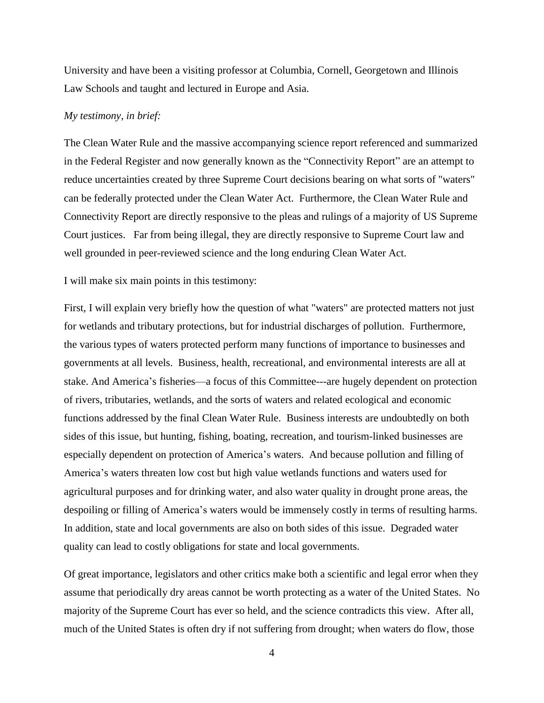University and have been a visiting professor at Columbia, Cornell, Georgetown and Illinois Law Schools and taught and lectured in Europe and Asia.

#### *My testimony, in brief:*

The Clean Water Rule and the massive accompanying science report referenced and summarized in the Federal Register and now generally known as the "Connectivity Report" are an attempt to reduce uncertainties created by three Supreme Court decisions bearing on what sorts of "waters" can be federally protected under the Clean Water Act. Furthermore, the Clean Water Rule and Connectivity Report are directly responsive to the pleas and rulings of a majority of US Supreme Court justices. Far from being illegal, they are directly responsive to Supreme Court law and well grounded in peer-reviewed science and the long enduring Clean Water Act.

I will make six main points in this testimony:

First, I will explain very briefly how the question of what "waters" are protected matters not just for wetlands and tributary protections, but for industrial discharges of pollution. Furthermore, the various types of waters protected perform many functions of importance to businesses and governments at all levels. Business, health, recreational, and environmental interests are all at stake. And America's fisheries—a focus of this Committee---are hugely dependent on protection of rivers, tributaries, wetlands, and the sorts of waters and related ecological and economic functions addressed by the final Clean Water Rule. Business interests are undoubtedly on both sides of this issue, but hunting, fishing, boating, recreation, and tourism-linked businesses are especially dependent on protection of America's waters. And because pollution and filling of America's waters threaten low cost but high value wetlands functions and waters used for agricultural purposes and for drinking water, and also water quality in drought prone areas, the despoiling or filling of America's waters would be immensely costly in terms of resulting harms. In addition, state and local governments are also on both sides of this issue. Degraded water quality can lead to costly obligations for state and local governments.

Of great importance, legislators and other critics make both a scientific and legal error when they assume that periodically dry areas cannot be worth protecting as a water of the United States. No majority of the Supreme Court has ever so held, and the science contradicts this view. After all, much of the United States is often dry if not suffering from drought; when waters do flow, those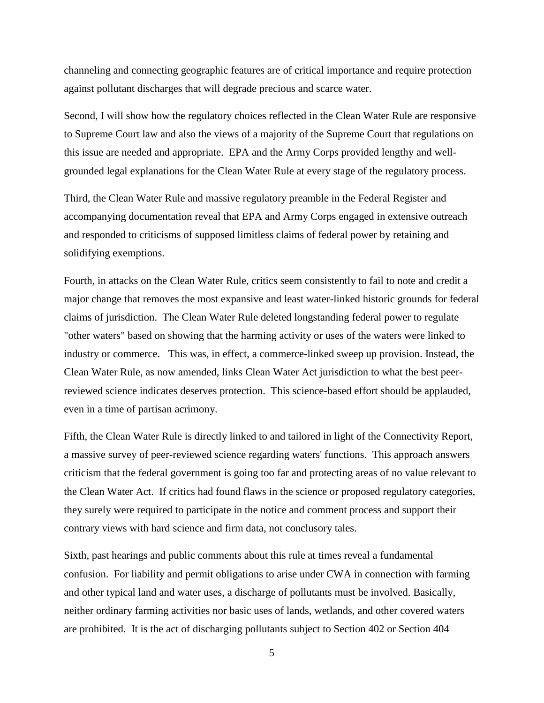channeling and connecting geographic features are of critical importance and require protection against pollutant discharges that will degrade precious and scarce water.

Second, I will show how the regulatory choices reflected in the Clean Water Rule are responsive to Supreme Court law and also the views of a majority of the Supreme Court that regulations on this issue are needed and appropriate. EPA and the Army Corps provided lengthy and wellgrounded legal explanations for the Clean Water Rule at every stage of the regulatory process.

Third, the Clean Water Rule and massive regulatory preamble in the Federal Register and accompanying documentation reveal that EPA and Army Corps engaged in extensive outreach and responded to criticisms of supposed limitless claims of federal power by retaining and solidifying exemptions.

Fourth, in attacks on the Clean Water Rule, critics seem consistently to fail to note and credit a major change that removes the most expansive and least water-linked historic grounds for federal claims of jurisdiction. The Clean Water Rule deleted longstanding federal power to regulate "other waters" based on showing that the harming activity or uses of the waters were linked to industry or commerce. This was, in effect, a commerce-linked sweep up provision. Instead, the Clean Water Rule, as now amended, links Clean Water Act jurisdiction to what the best peerreviewed science indicates deserves protection. This science-based effort should be applauded, even in a time of partisan acrimony.

Fifth, the Clean Water Rule is directly linked to and tailored in light of the Connectivity Report, a massive survey of peer-reviewed science regarding waters' functions. This approach answers criticism that the federal government is going too far and protecting areas of no value relevant to the Clean Water Act. If critics had found flaws in the science or proposed regulatory categories, they surely were required to participate in the notice and comment process and support their contrary views with hard science and firm data, not conclusory tales.

Sixth, past hearings and public comments about this rule at times reveal a fundamental confusion. For liability and permit obligations to arise under CWA in connection with farming and other typical land and water uses, a discharge of pollutants must be involved. Basically, neither ordinary farming activities nor basic uses of lands, wetlands, and other covered waters are prohibited. It is the act of discharging pollutants subject to Section 402 or Section 404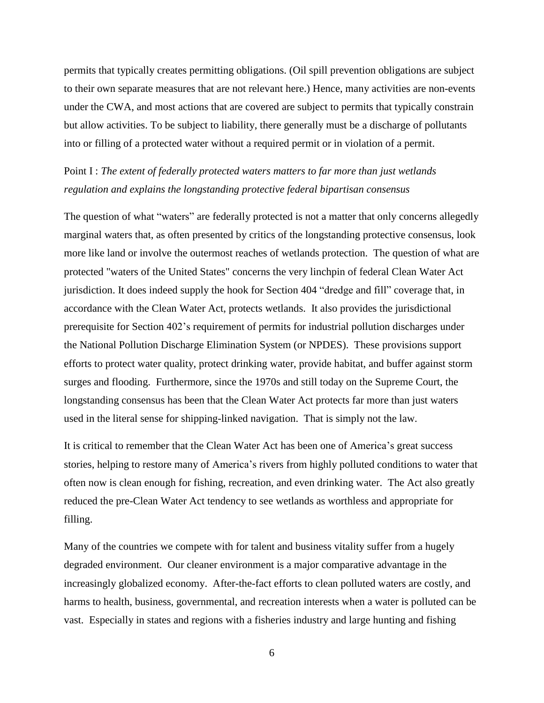permits that typically creates permitting obligations. (Oil spill prevention obligations are subject to their own separate measures that are not relevant here.) Hence, many activities are non-events under the CWA, and most actions that are covered are subject to permits that typically constrain but allow activities. To be subject to liability, there generally must be a discharge of pollutants into or filling of a protected water without a required permit or in violation of a permit.

# Point I : *The extent of federally protected waters matters to far more than just wetlands regulation and explains the longstanding protective federal bipartisan consensus*

The question of what "waters" are federally protected is not a matter that only concerns allegedly marginal waters that, as often presented by critics of the longstanding protective consensus, look more like land or involve the outermost reaches of wetlands protection. The question of what are protected "waters of the United States" concerns the very linchpin of federal Clean Water Act jurisdiction. It does indeed supply the hook for Section 404 "dredge and fill" coverage that, in accordance with the Clean Water Act, protects wetlands. It also provides the jurisdictional prerequisite for Section 402's requirement of permits for industrial pollution discharges under the National Pollution Discharge Elimination System (or NPDES). These provisions support efforts to protect water quality, protect drinking water, provide habitat, and buffer against storm surges and flooding. Furthermore, since the 1970s and still today on the Supreme Court, the longstanding consensus has been that the Clean Water Act protects far more than just waters used in the literal sense for shipping-linked navigation. That is simply not the law.

It is critical to remember that the Clean Water Act has been one of America's great success stories, helping to restore many of America's rivers from highly polluted conditions to water that often now is clean enough for fishing, recreation, and even drinking water. The Act also greatly reduced the pre-Clean Water Act tendency to see wetlands as worthless and appropriate for filling.

Many of the countries we compete with for talent and business vitality suffer from a hugely degraded environment. Our cleaner environment is a major comparative advantage in the increasingly globalized economy. After-the-fact efforts to clean polluted waters are costly, and harms to health, business, governmental, and recreation interests when a water is polluted can be vast. Especially in states and regions with a fisheries industry and large hunting and fishing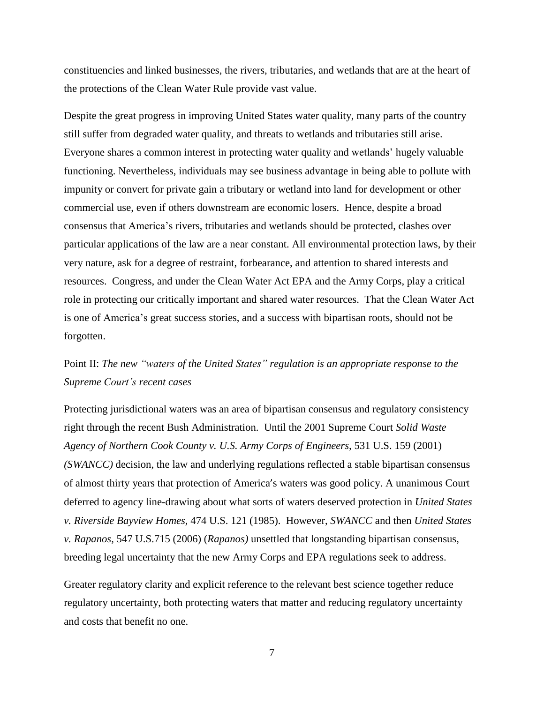constituencies and linked businesses, the rivers, tributaries, and wetlands that are at the heart of the protections of the Clean Water Rule provide vast value.

Despite the great progress in improving United States water quality, many parts of the country still suffer from degraded water quality, and threats to wetlands and tributaries still arise. Everyone shares a common interest in protecting water quality and wetlands' hugely valuable functioning. Nevertheless, individuals may see business advantage in being able to pollute with impunity or convert for private gain a tributary or wetland into land for development or other commercial use, even if others downstream are economic losers. Hence, despite a broad consensus that America's rivers, tributaries and wetlands should be protected, clashes over particular applications of the law are a near constant. All environmental protection laws, by their very nature, ask for a degree of restraint, forbearance, and attention to shared interests and resources. Congress, and under the Clean Water Act EPA and the Army Corps, play a critical role in protecting our critically important and shared water resources. That the Clean Water Act is one of America's great success stories, and a success with bipartisan roots, should not be forgotten.

# Point II: *The new "waters of the United States" regulation is an appropriate response to the Supreme Court's recent cases*

Protecting jurisdictional waters was an area of bipartisan consensus and regulatory consistency right through the recent Bush Administration. Until the 2001 Supreme Court *Solid Waste Agency of Northern Cook County v. U.S. Army Corps of Engineers,* 531 U.S. 159 (2001) *(SWANCC)* decision, the law and underlying regulations reflected a stable bipartisan consensus of almost thirty years that protection of America's waters was good policy. A unanimous Court deferred to agency line-drawing about what sorts of waters deserved protection in *United States v. Riverside Bayview Homes,* 474 U.S. 121 (1985). However, *SWANCC* and then *United States v. Rapanos,* 547 U.S.715 (2006) (*Rapanos)* unsettled that longstanding bipartisan consensus, breeding legal uncertainty that the new Army Corps and EPA regulations seek to address.

Greater regulatory clarity and explicit reference to the relevant best science together reduce regulatory uncertainty, both protecting waters that matter and reducing regulatory uncertainty and costs that benefit no one.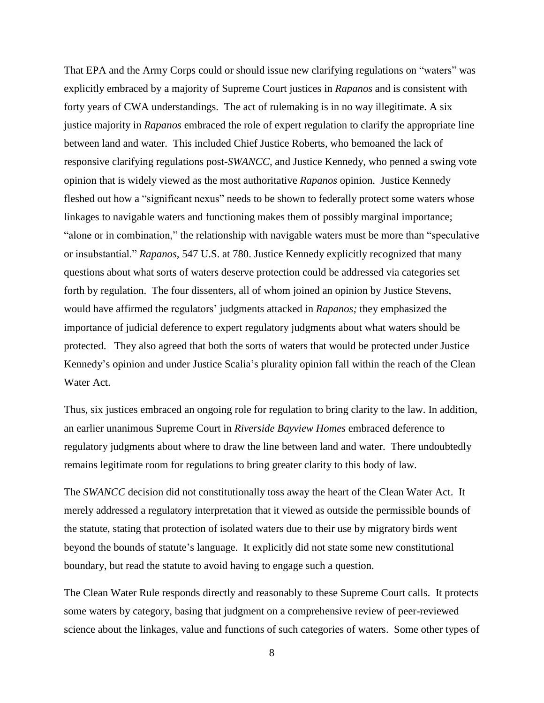That EPA and the Army Corps could or should issue new clarifying regulations on "waters" was explicitly embraced by a majority of Supreme Court justices in *Rapanos* and is consistent with forty years of CWA understandings. The act of rulemaking is in no way illegitimate. A six justice majority in *Rapanos* embraced the role of expert regulation to clarify the appropriate line between land and water. This included Chief Justice Roberts, who bemoaned the lack of responsive clarifying regulations post-*SWANCC,* and Justice Kennedy, who penned a swing vote opinion that is widely viewed as the most authoritative *Rapanos* opinion. Justice Kennedy fleshed out how a "significant nexus" needs to be shown to federally protect some waters whose linkages to navigable waters and functioning makes them of possibly marginal importance; "alone or in combination," the relationship with navigable waters must be more than "speculative or insubstantial." *Rapanos,* 547 U.S. at 780. Justice Kennedy explicitly recognized that many questions about what sorts of waters deserve protection could be addressed via categories set forth by regulation. The four dissenters, all of whom joined an opinion by Justice Stevens, would have affirmed the regulators' judgments attacked in *Rapanos;* they emphasized the importance of judicial deference to expert regulatory judgments about what waters should be protected. They also agreed that both the sorts of waters that would be protected under Justice Kennedy's opinion and under Justice Scalia's plurality opinion fall within the reach of the Clean Water Act.

Thus, six justices embraced an ongoing role for regulation to bring clarity to the law. In addition, an earlier unanimous Supreme Court in *Riverside Bayview Homes* embraced deference to regulatory judgments about where to draw the line between land and water. There undoubtedly remains legitimate room for regulations to bring greater clarity to this body of law.

The *SWANCC* decision did not constitutionally toss away the heart of the Clean Water Act. It merely addressed a regulatory interpretation that it viewed as outside the permissible bounds of the statute, stating that protection of isolated waters due to their use by migratory birds went beyond the bounds of statute's language. It explicitly did not state some new constitutional boundary, but read the statute to avoid having to engage such a question.

The Clean Water Rule responds directly and reasonably to these Supreme Court calls. It protects some waters by category, basing that judgment on a comprehensive review of peer-reviewed science about the linkages, value and functions of such categories of waters. Some other types of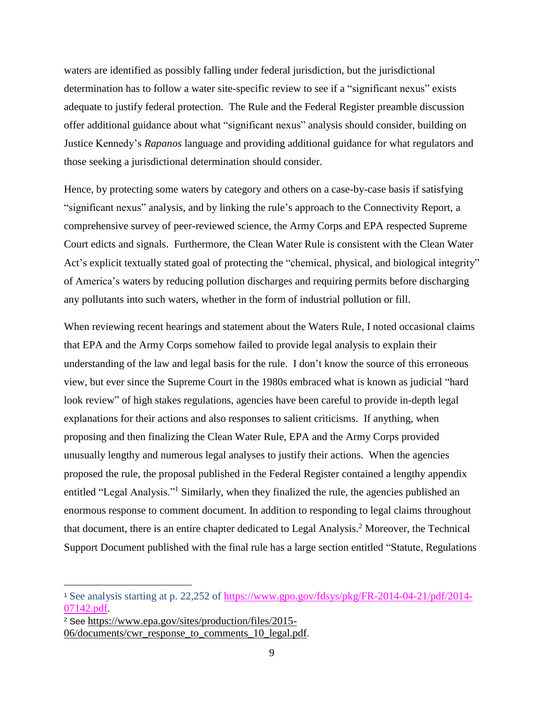waters are identified as possibly falling under federal jurisdiction, but the jurisdictional determination has to follow a water site-specific review to see if a "significant nexus" exists adequate to justify federal protection. The Rule and the Federal Register preamble discussion offer additional guidance about what "significant nexus" analysis should consider, building on Justice Kennedy's *Rapanos* language and providing additional guidance for what regulators and those seeking a jurisdictional determination should consider.

Hence, by protecting some waters by category and others on a case-by-case basis if satisfying "significant nexus" analysis, and by linking the rule's approach to the Connectivity Report, a comprehensive survey of peer-reviewed science, the Army Corps and EPA respected Supreme Court edicts and signals. Furthermore, the Clean Water Rule is consistent with the Clean Water Act's explicit textually stated goal of protecting the "chemical, physical, and biological integrity" of America's waters by reducing pollution discharges and requiring permits before discharging any pollutants into such waters, whether in the form of industrial pollution or fill.

When reviewing recent hearings and statement about the Waters Rule, I noted occasional claims that EPA and the Army Corps somehow failed to provide legal analysis to explain their understanding of the law and legal basis for the rule. I don't know the source of this erroneous view, but ever since the Supreme Court in the 1980s embraced what is known as judicial "hard look review" of high stakes regulations, agencies have been careful to provide in-depth legal explanations for their actions and also responses to salient criticisms. If anything, when proposing and then finalizing the Clean Water Rule, EPA and the Army Corps provided unusually lengthy and numerous legal analyses to justify their actions. When the agencies proposed the rule, the proposal published in the Federal Register contained a lengthy appendix entitled "Legal Analysis."<sup>1</sup> Similarly, when they finalized the rule, the agencies published an enormous response to comment document. In addition to responding to legal claims throughout that document, there is an entire chapter dedicated to Legal Analysis. <sup>2</sup> Moreover, the Technical Support Document published with the final rule has a large section entitled "Statute, Regulations

 $\overline{a}$ 

<sup>1</sup> See analysis starting at p. 22,252 of [https://www.gpo.gov/fdsys/pkg/FR-2014-04-21/pdf/2014-](https://www.gpo.gov/fdsys/pkg/FR-2014-04-21/pdf/2014-07142.pdf) [07142.pdf.](https://www.gpo.gov/fdsys/pkg/FR-2014-04-21/pdf/2014-07142.pdf)

<sup>2</sup> See [https://www.epa.gov/sites/production/files/2015-](https://www.epa.gov/sites/production/files/2015-06/documents/cwr_response_to_comments_10_legal.pdf) [06/documents/cwr\\_response\\_to\\_comments\\_10\\_legal.pdf.](https://www.epa.gov/sites/production/files/2015-06/documents/cwr_response_to_comments_10_legal.pdf)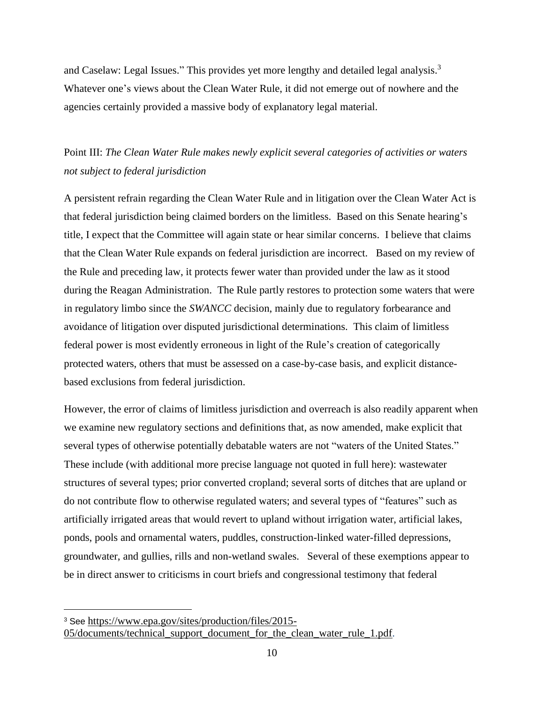and Caselaw: Legal Issues." This provides yet more lengthy and detailed legal analysis.<sup>3</sup> Whatever one's views about the Clean Water Rule, it did not emerge out of nowhere and the agencies certainly provided a massive body of explanatory legal material.

# Point III: *The Clean Water Rule makes newly explicit several categories of activities or waters not subject to federal jurisdiction*

A persistent refrain regarding the Clean Water Rule and in litigation over the Clean Water Act is that federal jurisdiction being claimed borders on the limitless. Based on this Senate hearing's title, I expect that the Committee will again state or hear similar concerns. I believe that claims that the Clean Water Rule expands on federal jurisdiction are incorrect. Based on my review of the Rule and preceding law, it protects fewer water than provided under the law as it stood during the Reagan Administration. The Rule partly restores to protection some waters that were in regulatory limbo since the *SWANCC* decision, mainly due to regulatory forbearance and avoidance of litigation over disputed jurisdictional determinations. This claim of limitless federal power is most evidently erroneous in light of the Rule's creation of categorically protected waters, others that must be assessed on a case-by-case basis, and explicit distancebased exclusions from federal jurisdiction.

However, the error of claims of limitless jurisdiction and overreach is also readily apparent when we examine new regulatory sections and definitions that, as now amended, make explicit that several types of otherwise potentially debatable waters are not "waters of the United States." These include (with additional more precise language not quoted in full here): wastewater structures of several types; prior converted cropland; several sorts of ditches that are upland or do not contribute flow to otherwise regulated waters; and several types of "features" such as artificially irrigated areas that would revert to upland without irrigation water, artificial lakes, ponds, pools and ornamental waters, puddles, construction-linked water-filled depressions, groundwater, and gullies, rills and non-wetland swales. Several of these exemptions appear to be in direct answer to criticisms in court briefs and congressional testimony that federal

 $\overline{a}$ 

<sup>3</sup> See [https://www.epa.gov/sites/production/files/2015-](https://www.epa.gov/sites/production/files/2015-05/documents/technical_support_document_for_the_clean_water_rule_1.pdf) [05/documents/technical\\_support\\_document\\_for\\_the\\_clean\\_water\\_rule\\_1.pdf.](https://www.epa.gov/sites/production/files/2015-05/documents/technical_support_document_for_the_clean_water_rule_1.pdf)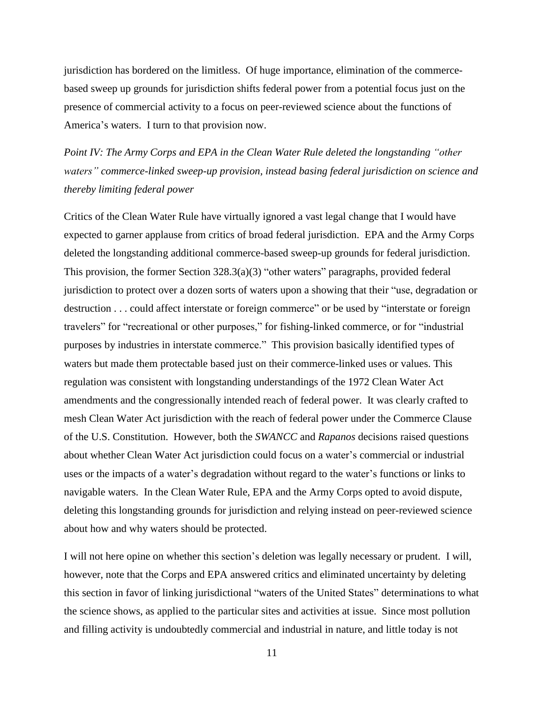jurisdiction has bordered on the limitless. Of huge importance, elimination of the commercebased sweep up grounds for jurisdiction shifts federal power from a potential focus just on the presence of commercial activity to a focus on peer-reviewed science about the functions of America's waters. I turn to that provision now.

*Point IV: The Army Corps and EPA in the Clean Water Rule deleted the longstanding "other waters" commerce-linked sweep-up provision, instead basing federal jurisdiction on science and thereby limiting federal power*

Critics of the Clean Water Rule have virtually ignored a vast legal change that I would have expected to garner applause from critics of broad federal jurisdiction. EPA and the Army Corps deleted the longstanding additional commerce-based sweep-up grounds for federal jurisdiction. This provision, the former Section  $328.3(a)(3)$  "other waters" paragraphs, provided federal jurisdiction to protect over a dozen sorts of waters upon a showing that their "use, degradation or destruction . . . could affect interstate or foreign commerce" or be used by "interstate or foreign travelers" for "recreational or other purposes," for fishing-linked commerce, or for "industrial purposes by industries in interstate commerce." This provision basically identified types of waters but made them protectable based just on their commerce-linked uses or values. This regulation was consistent with longstanding understandings of the 1972 Clean Water Act amendments and the congressionally intended reach of federal power. It was clearly crafted to mesh Clean Water Act jurisdiction with the reach of federal power under the Commerce Clause of the U.S. Constitution. However, both the *SWANCC* and *Rapanos* decisions raised questions about whether Clean Water Act jurisdiction could focus on a water's commercial or industrial uses or the impacts of a water's degradation without regard to the water's functions or links to navigable waters. In the Clean Water Rule, EPA and the Army Corps opted to avoid dispute, deleting this longstanding grounds for jurisdiction and relying instead on peer-reviewed science about how and why waters should be protected.

I will not here opine on whether this section's deletion was legally necessary or prudent. I will, however, note that the Corps and EPA answered critics and eliminated uncertainty by deleting this section in favor of linking jurisdictional "waters of the United States" determinations to what the science shows, as applied to the particular sites and activities at issue. Since most pollution and filling activity is undoubtedly commercial and industrial in nature, and little today is not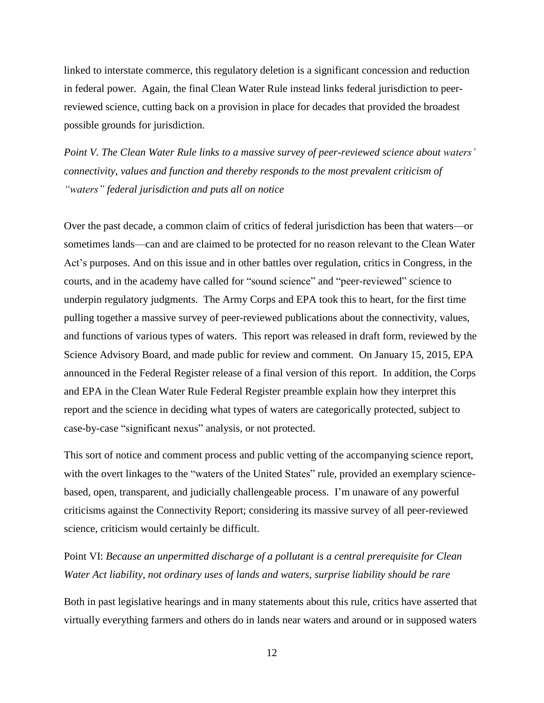linked to interstate commerce, this regulatory deletion is a significant concession and reduction in federal power. Again, the final Clean Water Rule instead links federal jurisdiction to peerreviewed science, cutting back on a provision in place for decades that provided the broadest possible grounds for jurisdiction.

*Point V. The Clean Water Rule links to a massive survey of peer-reviewed science about waters' connectivity, values and function and thereby responds to the most prevalent criticism of "waters" federal jurisdiction and puts all on notice*

Over the past decade, a common claim of critics of federal jurisdiction has been that waters—or sometimes lands—can and are claimed to be protected for no reason relevant to the Clean Water Act's purposes. And on this issue and in other battles over regulation, critics in Congress, in the courts, and in the academy have called for "sound science" and "peer-reviewed" science to underpin regulatory judgments. The Army Corps and EPA took this to heart, for the first time pulling together a massive survey of peer-reviewed publications about the connectivity, values, and functions of various types of waters. This report was released in draft form, reviewed by the Science Advisory Board, and made public for review and comment. On January 15, 2015, EPA announced in the Federal Register release of a final version of this report. In addition, the Corps and EPA in the Clean Water Rule Federal Register preamble explain how they interpret this report and the science in deciding what types of waters are categorically protected, subject to case-by-case "significant nexus" analysis, or not protected.

This sort of notice and comment process and public vetting of the accompanying science report, with the overt linkages to the "waters of the United States" rule, provided an exemplary sciencebased, open, transparent, and judicially challengeable process. I'm unaware of any powerful criticisms against the Connectivity Report; considering its massive survey of all peer-reviewed science, criticism would certainly be difficult.

Point VI: *Because an unpermitted discharge of a pollutant is a central prerequisite for Clean Water Act liability, not ordinary uses of lands and waters, surprise liability should be rare*

Both in past legislative hearings and in many statements about this rule, critics have asserted that virtually everything farmers and others do in lands near waters and around or in supposed waters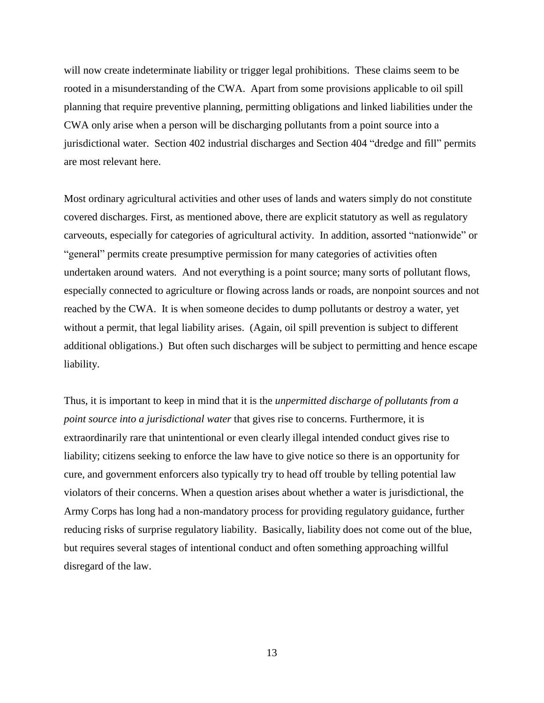will now create indeterminate liability or trigger legal prohibitions. These claims seem to be rooted in a misunderstanding of the CWA. Apart from some provisions applicable to oil spill planning that require preventive planning, permitting obligations and linked liabilities under the CWA only arise when a person will be discharging pollutants from a point source into a jurisdictional water. Section 402 industrial discharges and Section 404 "dredge and fill" permits are most relevant here.

Most ordinary agricultural activities and other uses of lands and waters simply do not constitute covered discharges. First, as mentioned above, there are explicit statutory as well as regulatory carveouts, especially for categories of agricultural activity. In addition, assorted "nationwide" or "general" permits create presumptive permission for many categories of activities often undertaken around waters. And not everything is a point source; many sorts of pollutant flows, especially connected to agriculture or flowing across lands or roads, are nonpoint sources and not reached by the CWA. It is when someone decides to dump pollutants or destroy a water, yet without a permit, that legal liability arises. (Again, oil spill prevention is subject to different additional obligations.) But often such discharges will be subject to permitting and hence escape liability.

Thus, it is important to keep in mind that it is the *unpermitted discharge of pollutants from a point source into a jurisdictional water* that gives rise to concerns. Furthermore, it is extraordinarily rare that unintentional or even clearly illegal intended conduct gives rise to liability; citizens seeking to enforce the law have to give notice so there is an opportunity for cure, and government enforcers also typically try to head off trouble by telling potential law violators of their concerns. When a question arises about whether a water is jurisdictional, the Army Corps has long had a non-mandatory process for providing regulatory guidance, further reducing risks of surprise regulatory liability. Basically, liability does not come out of the blue, but requires several stages of intentional conduct and often something approaching willful disregard of the law.